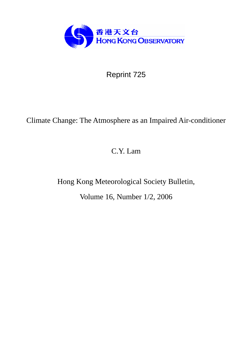

Reprint 725

# Climate Change: The Atmosphere as an Impaired Air-conditioner

C.Y. Lam

Hong Kong Meteorological Society Bulletin,

Volume 16, Number 1/2, 2006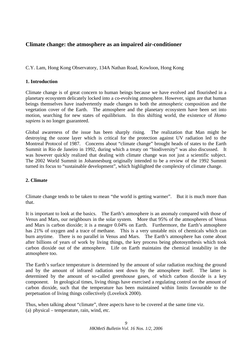## **Climate change: the atmosphere as an impaired air-conditioner**

C.Y. Lam, Hong Kong Observatory, 134A Nathan Road, Kowloon, Hong Kong

## **1. Introduction**

Climate change is of great concern to human beings because we have evolved and flourished in a planetary ecosystem delicately locked into a co-evolving atmosphere. However, signs are that human beings themselves have inadvertently made changes to both the atmospheric composition and the vegetation cover of the Earth. The atmosphere and the planetary ecosystem have been set into motion, searching for new states of equilibrium. In this shifting world, the existence of *Homo sapiens* is no longer guaranteed.

Global awareness of the issue has been sharply rising. The realization that Man might be destroying the ozone layer which is critical for the protection against UV radiation led to the Montreal Protocol of 1987. Concerns about "climate change" brought heads of states to the Earth Summit in Rio de Janeiro in 1992, during which a treaty on "biodiversity" was also discussed. It was however quickly realized that dealing with climate change was not just a scientific subject. The 2002 World Summit in Johannesburg originally intended to be a review of the 1992 Summit turned its focus to "sustainable development", which highlighted the complexity of climate change.

## **2. Climate**

Climate change tends to be taken to mean "the world is getting warmer". But it is much more than that.

It is important to look at the basics. The Earth's atmosphere is an anomaly compared with those of Venus and Mars, our neighbours in the solar system. More that 95% of the atmospheres of Venus and Mars is carbon dioxide; it is a meagre 0.04% on Earth. Furthermore, the Earth's atmosphere has 21% of oxygen and a trace of methane. This is a very unstable mix of chemicals which can burn anytime. There is no parallel in Venus and Mars. The Earth's atmosphere has come about after billions of years of work by living things, the key process being photosynthesis which took carbon dioxide out of the atmosphere. Life on Earth maintains the chemical instability in the atmosphere too.

The Earth's surface temperature is determined by the amount of solar radiation reaching the ground and by the amount of infrared radiation sent down by the atmosphere itself. The latter is determined by the amount of so-called greenhouse gases, of which carbon dioxide is a key component. In geological times, living things have exercised a regulating control on the amount of carbon dioxide, such that the temperature has been maintained within limits favourable to the perpetuation of living things collectively (Lovelock 2000).

Thus, when talking about "climate", three aspects have to be covered at the same time viz. (a) physical – temperature, rain, wind, etc.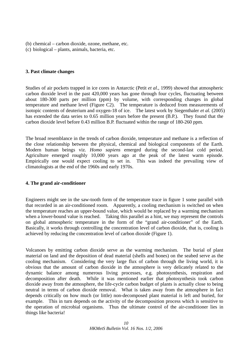- (b) chemical carbon dioxide, ozone, methane, etc.
- (c) biological plants, animals, bacteria, etc.

## **3. Past climate changes**

Studies of air pockets trapped in ice cores in Antarctic (Petit *et al*., 1999) showed that atmospheric carbon dioxide level in the past 420,000 years has gone through four cycles, fluctuating between about 180-300 parts per million (ppm) by volume, with corresponding changes in global temperature and methane level (Figure C2). The temperature is deduced from measurements of isotopic contents of deuterium and oxygen-18 of ice. The latest work by Siegenthaler *et al.* (2005) has extended the data series to 0.65 million years before the present (B.P.). They found that the carbon dioxide level before 0.43 million B.P. fluctuated within the range of 180-260 ppm.

The broad resemblance in the trends of carbon dioxide, temperature and methane is a reflection of the close relationship between the physical, chemical and biological components of the Earth. Modern human beings viz. *Homo sapiens* emerged during the second-last cold period. Agriculture emerged roughly 10,000 years ago at the peak of the latest warm episode. Empirically one would expect cooling to set in. This was indeed the prevailing view of climatologists at the end of the 1960s and early 1970s.

## **4. The grand air-conditioner**

Engineers might see in the saw-tooth form of the temperature trace in figure 1 some parallel with that recorded in an air-conditioned room. Apparently, a cooling mechanism is switched on when the temperature reaches an upper-bound value, which would be replaced by a warming mechanism when a lower-bound value is reached. Taking this parallel as a hint, we may represent the controls on global atmospheric temperature in the form of the "grand air-conditioner" of the Earth. Basically, it works through controlling the concentration level of carbon dioxide, that is, cooling is achieved by reducing the concentration level of carbon dioxide (Figure 1).

Volcanoes by emitting carbon dioxide serve as the warming mechanism. The burial of plant material on land and the deposition of dead material (shells and bones) on the seabed serve as the cooling mechanism. Considering the very large flux of carbon through the living world, it is obvious that the amount of carbon dioxide in the atmosphere is very delicately related to the dynamic balance among numerous living processes, e.g. photosynthesis, respiration and decomposition after death. While it was mentioned earlier that photosynthesis took carbon dioxide away from the atmosphere, the life-cycle carbon budget of plants is actually close to being neutral in terms of carbon dioxide removal. What is taken away from the atmosphere in fact depends critically on how much (or little) non-decomposed plant material is left and buried, for example. This in turn depends on the activity of the decomposition process which is sensitive to the operation of microbial organisms. Thus the ultimate control of the air-conditioner lies in things like bacteria!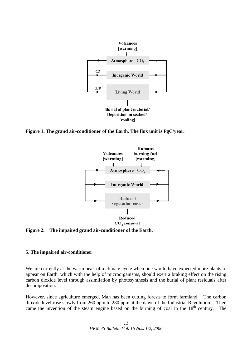

**Figure 1. The grand air-conditioner of the Earth. The flux unit is PgC/year.** 



**Figure 2. The impaired grand air-conditioner of the Earth.** 

## **5. The impaired air-conditioner**

We are currently at the warm peak of a climate cycle when one would have expected more plants to appear on Earth, which with the help of microorganisms, should exert a braking effect on the rising carbon dioxide level through assimilation by photosynthesis and the burial of plant residuals after decomposition.

However, since agriculture emerged, Man has been cutting forests to form farmland. The carbon dioxide level rose slowly from 260 ppm to 280 ppm at the dawn of the Industrial Revolution. Then came the invention of the steam engine based on the burning of coal in the  $18<sup>th</sup>$  century. The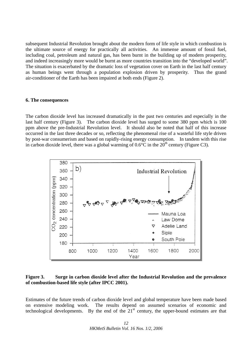subsequent Industrial Revolution brought about the modern form of life style in which combustion is the ultimate source of energy for practically all activities. An immense amount of fossil fuel, including coal, petroleum and natural gas, has been burnt in the building up of modern prosperity, and indeed increasingly more would be burnt as more countries transition into the "developed world". The situation is exacerbated by the dramatic loss of vegetation cover on Earth in the last half century as human beings went through a population explosion driven by prosperity. Thus the grand air-conditioner of the Earth has been impaired at both ends (Figure 2).

#### **6. The consequences**

The carbon dioxide level has increased dramatically in the past two centuries and especially in the last half century (Figure 3). The carbon dioxide level has surged to some 380 ppm which is 100 ppm above the pre-Industrial Revolution level. It should also be noted that half of this increase occurred in the last three decades or so, reflecting the phenomenal rise of a wasteful life style driven by post-war consumerism and based on rapidly-rising energy consumption. In tandem with this rise in carbon dioxide level, there was a global warming of  $0.6^{\circ}$ C in the  $20^{th}$  century (Figure C3).



## **Figure 3. Surge in carbon dioxide level after the Industrial Revolution and the prevalence of combustion-based life style (after IPCC 2001).**

Estimates of the future trends of carbon dioxide level and global temperature have been made based on extensive modeling work. The results depend on assumed scenarios of economic and technological developments. By the end of the  $21<sup>st</sup>$  century, the upper-bound estimates are that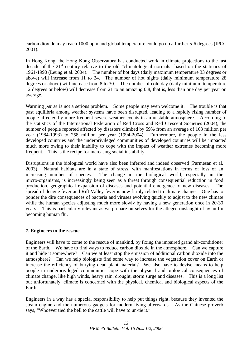carbon dioxide may reach 1000 ppm and global temperature could go up a further 5-6 degrees (IPCC 2001).

In Hong Kong, the Hong Kong Observatory has conducted work in climate projections to the last decade of the 21<sup>st</sup> century relative to the old "climatological normals" based on the statistics of 1961-1990 (Leung et al. 2004). The number of hot days (daily maximum temperature 33 degrees or above) will increase from 11 to 24. The number of hot nights (daily minimum temperature 28 degrees or above) will increase from 8 to 30. The number of cold day (daily minimum temperature 12 degrees or below) will decrease from 21 to an amazing 0.8, that is, less than one day per year on average.

Warming *per se* is not a serious problem. Some people may even welcome it. The trouble is that past equilibria among weather systems have been disrupted, leading to a rapidly rising number of people affected by more frequent severe weather events in an unstable atmosphere. According to the statistics of the International Federation of Red Cross and Red Crescent Societies (2004), the number of people reported affected by disasters climbed by 59% from an average of 163 million per year (1984-1993) to 258 million per year (1994-2004). Furthermore, the people in the less developed countries and the underprivileged communities of developed countries will be impacted much more owing to their inability to cope with the impact of weather extremes becoming more frequent. This is the recipe for increasing social instability.

Disruptions in the biological world have also been inferred and indeed observed (Parmesan et al. 2003). Natural habitats are in a state of stress, with manifestations in terms of loss of an increasing number of species. The change in the biological world, especially in the micro-organisms, is increasingly being seen as a threat through consequential reduction in food production, geographical expansion of diseases and potential emergence of new diseases. The spread of dengue fever and Rift Valley fever is now firmly related to climate change. One has to ponder the dire consequences of bacteria and viruses evolving quickly to adjust to the new climate while the human species adjusting much more slowly by having a new generation once in 20-30 years. This is particularly relevant as we prepare ourselves for the alleged onslaught of avian flu becoming human flu.

## **7. Engineers to the rescue**

Engineers will have to come to the rescue of mankind, by fixing the impaired grand air-conditioner of the Earth. We have to find ways to reduce carbon dioxide in the atmosphere. Can we capture it and hide it somewhere? Can we at least stop the emission of additional carbon dioxide into the atmosphere? Can we help biologists find some way to increase the vegetation cover on Earth or increase the efficiency of burying dead plant material? We also have to devise means to help people in underprivileged communities cope with the physical and biological consequences of climate change, like high winds, heavy rain, drought, storm surge and diseases. This is a long list but unfortunately, climate is concerned with the physical, chemical and biological aspects of the Earth.

Engineers in a way has a special responsibility to help put things right, because they invented the steam engine and the numerous gadgets for modern living afterwards. As the Chinese proverb says, "Whoever tied the bell to the cattle will have to un-tie it."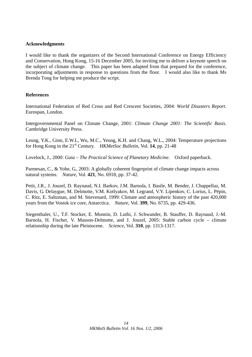## **Acknowledgments**

I would like to thank the organizers of the Second International Conference on Energy Efficiency and Conservation, Hong Kong, 15-16 December 2005, for inviting me to deliver a keynote speech on the subject of climate change. This paper has been adapted from that prepared for the conference, incorporating adjustments in response to questions from the floor. I would also like to thank Ms Brenda Tong for helping me produce the script.

## **References**

International Federation of Red Cross and Red Crescent Societies, 2004: *World Disasters Report*. Eurospan, London.

Intergovernmental Panel on Climate Change, 2001: *Climate Change 2001: The Scientific Basis*. Cambridge University Press.

Leung, Y.K., Ginn, E.W.L, Wu, M.C., Yeung, K.H. and Chang, W.L., 2004: Temperature projections for Hong Kong in the 21<sup>st</sup> Century. *HKMetSoc Bulletin*, Vol. 14, pp. 21-48

Lovelock, J., 2000: *Gaia – The Practical Science of Planetary Medicine*. Oxford paperback.

Parmesan, C., & Yohe, G., 2003: A globally coherent fingerprint of climate change impacts across natural systems. *Nature*, Vol. **421**, No. 6918, pp. 37-42.

Petit, J.R., J. Jouzel, D. Raynaud, N.I. Barkov, J.M. Barnola, I. Basile, M. Bender, J. Chappellaz, M. Davis, G. Delaygue, M. Delmotte, V.M. Kotlyakov, M. Legrand, V.Y. Lipenkov, C. Lorius, L. Pépin, C. Ritz, E. Saltzman, and M. Stievenard, 1999: Climate and atmospheric history of the past 420,000 years from the Vostok ice core, Antarctica. *Nature*, Vol. **399**, No. 6735, pp. 429-436.

Siegenthaler, U., T.F. Stocker, E. Monnin, D. Luthi, J. Schwander, B. Stauffer, D. Raynaud, J.-M. Barnola, H. Fischer, V. Masson-Delmotte, and J. Jouzel, 2005: Stable carbon cycle – climate relationship during the late Pleistocene. *Science*, Vol. **310**, pp. 1313-1317.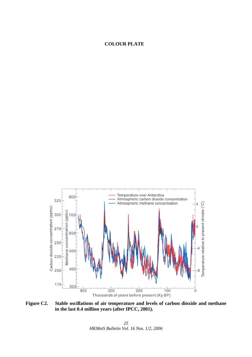## **COLOUR PLATE**



**Figure C2. Stable oscillations of air temperature and levels of carbon dioxide and methane in the last 0.4 million years (after IPCC, 2001).**